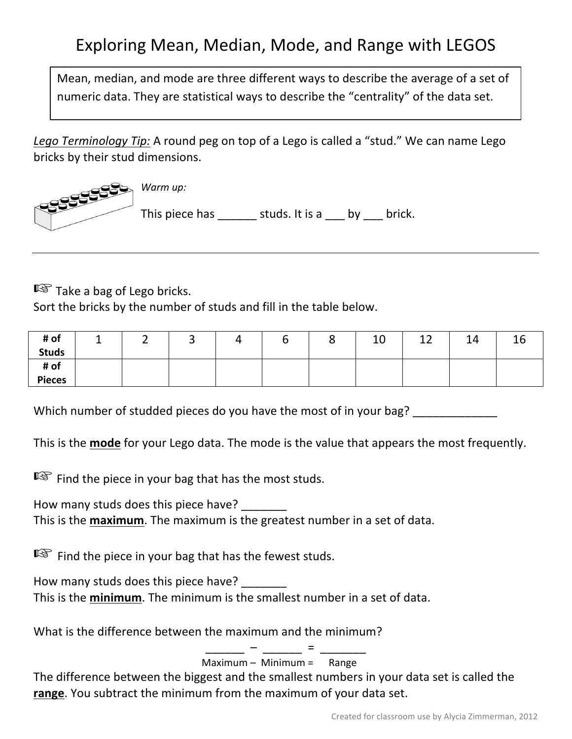## Exploring Mean, Median, Mode, and Range with LEGOS

Mean, median, and mode are three different ways to describe the average of a set of numeric data. They are statistical ways to describe the "centrality" of the data set.

Lego Terminology Tip: A round peg on top of a Lego is called a "stud." We can name Lego bricks by their stud dimensions.



■ Take a bag of Lego bricks.

Sort the bricks by the number of studs and fill in the table below.

| # of          | - | ∽<br>- | ັ | –<br>. . | ပ | 10 | $\sim$<br>ᅩᄼ | 14 | Τp |
|---------------|---|--------|---|----------|---|----|--------------|----|----|
| <b>Studs</b>  |   |        |   |          |   |    |              |    |    |
| # of          |   |        |   |          |   |    |              |    |    |
| <b>Pieces</b> |   |        |   |          |   |    |              |    |    |

Which number of studded pieces do you have the most of in your bag?

This is the **mode** for your Lego data. The mode is the value that appears the most frequently.

 $\mathbb{R}$  Find the piece in your bag that has the most studs.

How many studs does this piece have? This is the **maximum**. The maximum is the greatest number in a set of data.

 $\mathbb{R}$  Find the piece in your bag that has the fewest studs.

How many studs does this piece have? This is the **minimum**. The minimum is the smallest number in a set of data.

What is the difference between the maximum and the minimum?

 $\overline{\phantom{a}}$  –  $\overline{\phantom{a}}$  –  $\overline{\phantom{a}}$  –  $\overline{\phantom{a}}$ Maximum – Minimum = Range

The difference between the biggest and the smallest numbers in your data set is called the **range**. You subtract the minimum from the maximum of your data set.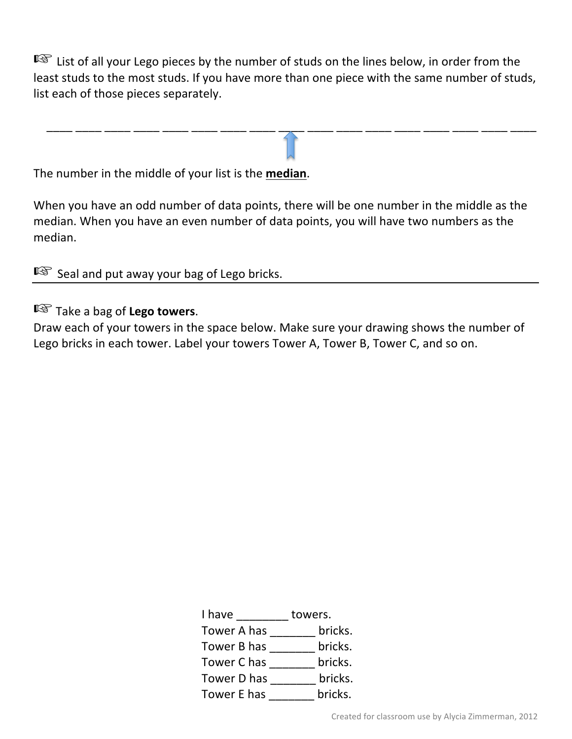■ List of all your Lego pieces by the number of studs on the lines below, in order from the least studs to the most studs. If you have more than one piece with the same number of studs, list each of those pieces separately.

 $\frac{1}{2}$  ,  $\frac{1}{2}$  ,  $\frac{1}{2}$  ,  $\frac{1}{2}$  ,  $\frac{1}{2}$  ,  $\frac{1}{2}$  ,  $\frac{1}{2}$  ,  $\frac{1}{2}$  ,  $\frac{1}{2}$  ,  $\frac{1}{2}$  ,  $\frac{1}{2}$  ,  $\frac{1}{2}$  ,  $\frac{1}{2}$  ,  $\frac{1}{2}$  ,  $\frac{1}{2}$  ,  $\frac{1}{2}$  ,  $\frac{1}{2}$  ,  $\frac{1}{2}$  ,  $\frac{1$ 

The number in the middle of your list is the **median**.

When you have an odd number of data points, there will be one number in the middle as the median. When you have an even number of data points, you will have two numbers as the median.

■ Seal and put away your bag of Lego bricks.

☞Take a bag of **Lego towers**.

Draw each of your towers in the space below. Make sure your drawing shows the number of Lego bricks in each tower. Label your towers Tower A, Tower B, Tower C, and so on.

| I have      | towers. |
|-------------|---------|
| Tower A has | bricks. |
| Tower B has | bricks. |
| Tower C has | bricks. |
| Tower D has | bricks. |
| Tower E has | bricks. |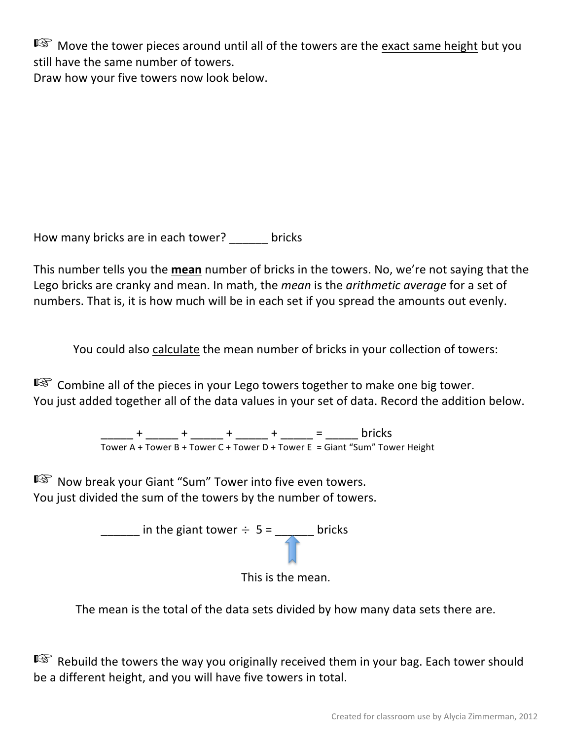**I**<sup>®</sup> Move the tower pieces around until all of the towers are the exact same height but you still have the same number of towers. Draw how your five towers now look below.

How many bricks are in each tower? bricks

This number tells you the mean number of bricks in the towers. No, we're not saying that the Lego bricks are cranky and mean. In math, the *mean* is the *arithmetic average* for a set of numbers. That is, it is how much will be in each set if you spread the amounts out evenly.

You could also calculate the mean number of bricks in your collection of towers:

 $\mathbb{R}$  Combine all of the pieces in your Lego towers together to make one big tower. You just added together all of the data values in your set of data. Record the addition below.

> \_\_\_\_\_ + \_\_\_\_\_ + \_\_\_\_\_ + \_\_\_\_\_ + \_\_\_\_\_ = \_\_\_\_\_ bricks Tower A + Tower B + Tower C + Tower D + Tower E = Giant "Sum" Tower Height

■ Now break your Giant "Sum" Tower into five even towers. You just divided the sum of the towers by the number of towers.





The mean is the total of the data sets divided by how many data sets there are.

■ Rebuild the towers the way you originally received them in your bag. Each tower should be a different height, and you will have five towers in total.